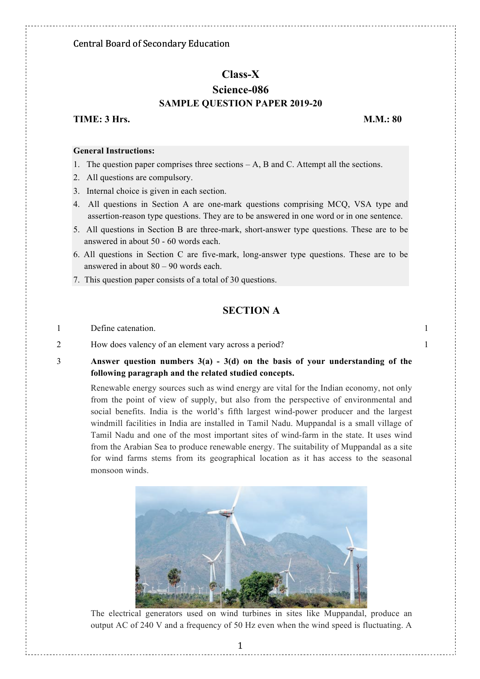# **Class-X Science-086 SAMPLE QUESTION PAPER 2019-20**

## **TIME: 3 Hrs.** M.M.: 80

#### **General Instructions:**

- 1. The question paper comprises three sections A, B and C. Attempt all the sections.
- 2. All questions are compulsory.
- 3. Internal choice is given in each section.
- 4. All questions in Section A are one-mark questions comprising MCQ, VSA type and assertion-reason type questions. They are to be answered in one word or in one sentence.
- 5. All questions in Section B are three-mark, short-answer type questions. These are to be answered in about 50 - 60 words each.
- 6. All questions in Section C are five-mark, long-answer type questions. These are to be answered in about 80 – 90 words each.
- 7. This question paper consists of a total of 30 questions.

# **SECTION A**

- 1 Define catenation. 1
- 2 How does valency of an element vary across a period? 1
- 3 **Answer question numbers 3(a) - 3(d) on the basis of your understanding of the following paragraph and the related studied concepts.**

Renewable energy sources such as wind energy are vital for the Indian economy, not only from the point of view of supply, but also from the perspective of environmental and social benefits. India is the world's fifth largest wind-power producer and the largest windmill facilities in India are installed in Tamil Nadu. Muppandal is a small village of Tamil Nadu and one of the most important sites of wind-farm in the state. It uses wind from the Arabian Sea to produce renewable energy. The suitability of Muppandal as a site for wind farms stems from its geographical location as it has access to the seasonal monsoon winds.



The electrical generators used on wind turbines in sites like Muppandal, produce an output AC of 240 V and a frequency of 50 Hz even when the wind speed is fluctuating. A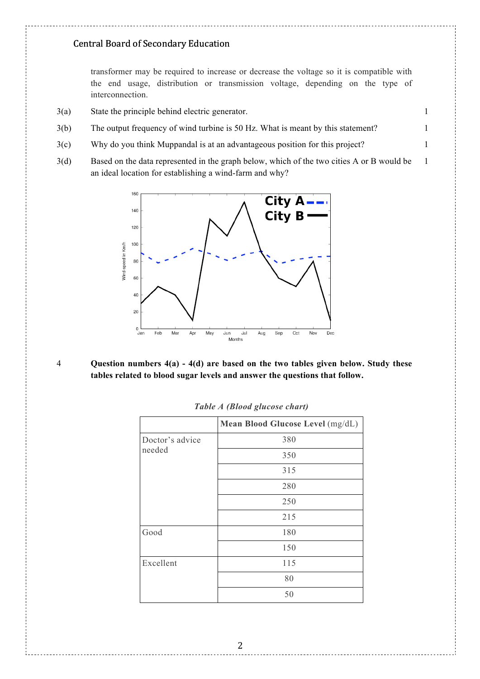transformer may be required to increase or decrease the voltage so it is compatible with the end usage, distribution or transmission voltage, depending on the type of interconnection.

1

- 3(a) State the principle behind electric generator. 1
- 3(b) The output frequency of wind turbine is 50 Hz. What is meant by this statement? 1
- 3(c) Why do you think Muppandal is at an advantageous position for this project? 1
- 3(d) Based on the data represented in the graph below, which of the two cities A or B would be an ideal location for establishing a wind-farm and why?



4 **Question numbers 4(a) - 4(d) are based on the two tables given below. Study these tables related to blood sugar levels and answer the questions that follow.**

|                           | Mean Blood Glucose Level (mg/dL) |
|---------------------------|----------------------------------|
| Doctor's advice<br>needed | 380                              |
|                           | 350                              |
|                           | 315                              |
|                           | 280                              |
|                           | 250                              |
|                           | 215                              |
| Good                      | 180                              |
|                           | 150                              |
| Excellent                 | 115                              |
|                           | 80                               |
|                           | 50                               |

*Table A (Blood glucose chart)*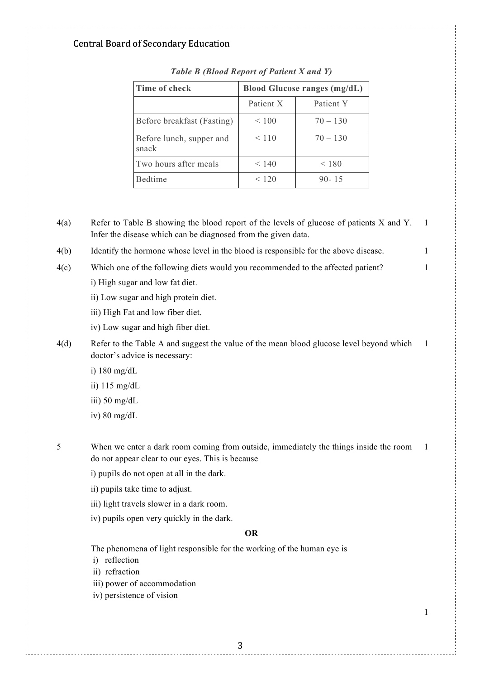| Time of check                     | <b>Blood Glucose ranges (mg/dL)</b> |            |  |
|-----------------------------------|-------------------------------------|------------|--|
|                                   | Patient X                           | Patient Y  |  |
| Before breakfast (Fasting)        | $\leq 100$                          | $70 - 130$ |  |
| Before lunch, supper and<br>snack | < 110                               | $70 - 130$ |  |
| Two hours after meals             | < 140                               | ${}< 180$  |  |
| Bedtime                           | < 120                               | $90 - 15$  |  |

*Table B (Blood Report of Patient X and Y)*

| 4(a) | Refer to Table B showing the blood report of the levels of glucose of patients X and Y.<br>Infer the disease which can be diagnosed from the given data. | 1  |
|------|----------------------------------------------------------------------------------------------------------------------------------------------------------|----|
| 4(b) | Identify the hormone whose level in the blood is responsible for the above disease.                                                                      | 1  |
| 4(c) | Which one of the following diets would you recommended to the affected patient?                                                                          | 1  |
|      | i) High sugar and low fat diet.                                                                                                                          |    |
|      | ii) Low sugar and high protein diet.                                                                                                                     |    |
|      | iii) High Fat and low fiber diet.                                                                                                                        |    |
|      | iv) Low sugar and high fiber diet.                                                                                                                       |    |
| 4(d) | Refer to the Table A and suggest the value of the mean blood glucose level beyond which<br>doctor's advice is necessary:                                 | 1  |
|      | i) $180 \text{ mg/dL}$                                                                                                                                   |    |
|      | ii) $115 \text{ mg/dL}$                                                                                                                                  |    |
|      | iii) $50 \text{ mg/dL}$                                                                                                                                  |    |
|      | iv) $80 \text{ mg/dL}$                                                                                                                                   |    |
| 5    | When we enter a dark room coming from outside, immediately the things inside the room                                                                    | -1 |
|      | do not appear clear to our eyes. This is because                                                                                                         |    |
|      | i) pupils do not open at all in the dark.                                                                                                                |    |
|      | ii) pupils take time to adjust.                                                                                                                          |    |
|      | iii) light travels slower in a dark room.                                                                                                                |    |
|      | iv) pupils open very quickly in the dark.                                                                                                                |    |
|      | <b>OR</b>                                                                                                                                                |    |
|      | The phenomena of light responsible for the working of the human eye is<br>i) reflection                                                                  |    |
|      | ii) refraction                                                                                                                                           |    |
|      | iii) power of accommodation<br>iv) persistence of vision                                                                                                 |    |
|      |                                                                                                                                                          |    |
|      |                                                                                                                                                          | 1  |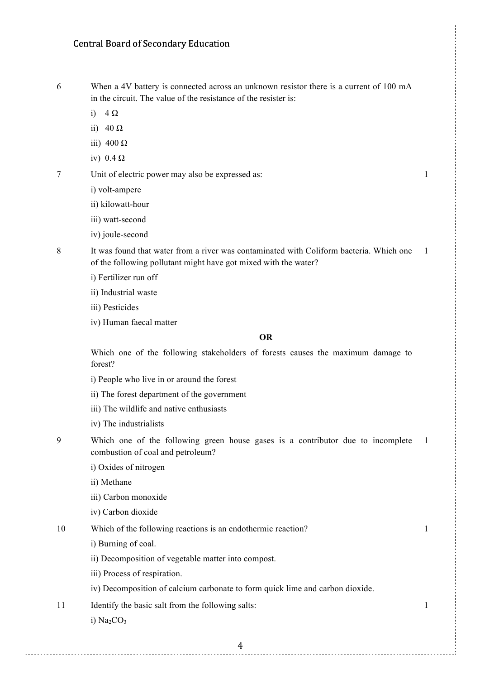6 When a 4V battery is connected across an unknown resistor there is a current of 100 mA in the circuit. The value of the resistance of the resister is:

1

1

1

- i)  $4 \Omega$
- ii)  $40 \Omega$
- iii) 400  $\Omega$
- iv)  $0.4 \Omega$

7 Unit of electric power may also be expressed as:

- i) volt-ampere
- ii) kilowatt-hour
- iii) watt-second
- iv) joule-second

8 It was found that water from a river was contaminated with Coliform bacteria. Which one of the following pollutant might have got mixed with the water? 1

- i) Fertilizer run off
- ii) Industrial waste
- iii) Pesticides
- iv) Human faecal matter

#### **OR**

Which one of the following stakeholders of forests causes the maximum damage to forest?

- i) People who live in or around the forest
- ii) The forest department of the government
- iii) The wildlife and native enthusiasts
- iv) The industrialists
- 9 Which one of the following green house gases is a contributor due to incomplete combustion of coal and petroleum? 1
	- i) Oxides of nitrogen
	- ii) Methane
	- iii) Carbon monoxide
	- iv) Carbon dioxide

10 Which of the following reactions is an endothermic reaction?

- i) Burning of coal.
- ii) Decomposition of vegetable matter into compost.
- iii) Process of respiration.

iv) Decomposition of calcium carbonate to form quick lime and carbon dioxide.

11 Identify the basic salt from the following salts:

i)  $Na<sub>2</sub>CO<sub>3</sub>$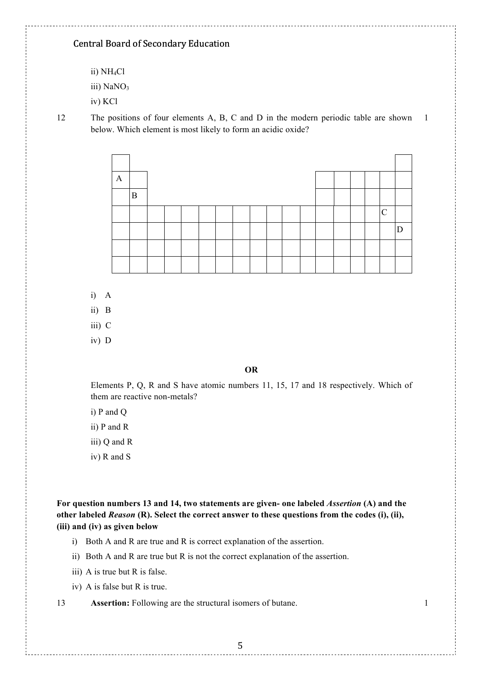- ii) NH4Cl
- iii) NaNO<sub>3</sub>
- iv) KCl

12 The positions of four elements A, B, C and D in the modern periodic table are shown below. Which element is most likely to form an acidic oxide? 1



- i) A
- ii) B
- iii) C
- iv) D

#### **OR**

Elements P, Q, R and S have atomic numbers 11, 15, 17 and 18 respectively. Which of them are reactive non-metals?

- i) P and Q
- ii) P and R
- iii) Q and R
- iv) R and S

**For question numbers 13 and 14, two statements are given- one labeled** *Assertion* **(A) and the other labeled** *Reason* **(R). Select the correct answer to these questions from the codes (i), (ii), (iii) and (iv) as given below**

- i) Both A and R are true and R is correct explanation of the assertion.
- ii) Both A and R are true but R is not the correct explanation of the assertion.
- iii) A is true but R is false.
- iv) A is false but R is true.

13 **Assertion:** Following are the structural isomers of butane. 1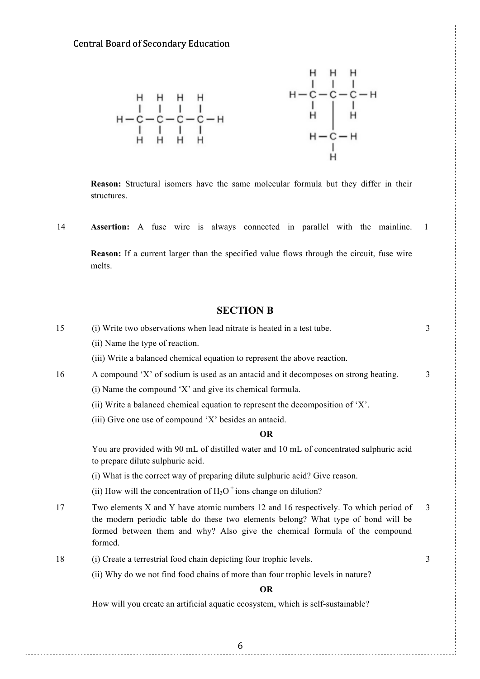

**Reason:** Structural isomers have the same molecular formula but they differ in their structures.

14 **Assertion:** A fuse wire is always connected in parallel with the mainline. 1

**Reason:** If a current larger than the specified value flows through the circuit, fuse wire melts.

#### **SECTION B**

| 15 | (i) Write two observations when lead nitrate is heated in a test tube.                                                                                                                                                                                             | $\overline{3}$ |
|----|--------------------------------------------------------------------------------------------------------------------------------------------------------------------------------------------------------------------------------------------------------------------|----------------|
|    | (ii) Name the type of reaction.                                                                                                                                                                                                                                    |                |
|    | (iii) Write a balanced chemical equation to represent the above reaction.                                                                                                                                                                                          |                |
| 16 | A compound 'X' of sodium is used as an antacid and it decomposes on strong heating.                                                                                                                                                                                | $\overline{3}$ |
|    | (i) Name the compound 'X' and give its chemical formula.                                                                                                                                                                                                           |                |
|    | (ii) Write a balanced chemical equation to represent the decomposition of 'X'.                                                                                                                                                                                     |                |
|    | (iii) Give one use of compound 'X' besides an antacid.                                                                                                                                                                                                             |                |
|    | <b>OR</b>                                                                                                                                                                                                                                                          |                |
|    | You are provided with 90 mL of distilled water and 10 mL of concentrated sulphuric acid<br>to prepare dilute sulphuric acid.                                                                                                                                       |                |
|    | (i) What is the correct way of preparing dilute sulphuric acid? Give reason.                                                                                                                                                                                       |                |
|    | (ii) How will the concentration of $H_3O^+$ ions change on dilution?                                                                                                                                                                                               |                |
| 17 | Two elements X and Y have atomic numbers 12 and 16 respectively. To which period of<br>the modern periodic table do these two elements belong? What type of bond will be<br>formed between them and why? Also give the chemical formula of the compound<br>formed. | $\overline{3}$ |
| 18 | (i) Create a terrestrial food chain depicting four trophic levels.                                                                                                                                                                                                 | 3              |
|    | (ii) Why do we not find food chains of more than four trophic levels in nature?                                                                                                                                                                                    |                |
|    | <b>OR</b>                                                                                                                                                                                                                                                          |                |
|    | How will you create an artificial aquatic ecosystem, which is self-sustainable?                                                                                                                                                                                    |                |
|    |                                                                                                                                                                                                                                                                    |                |
|    |                                                                                                                                                                                                                                                                    |                |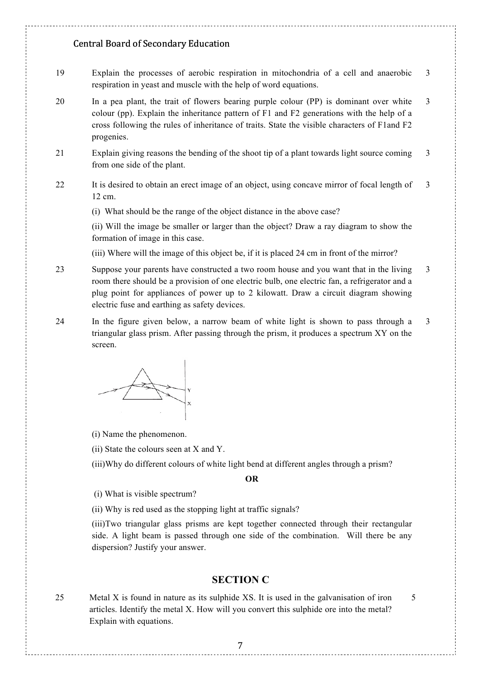- 19 Explain the processes of aerobic respiration in mitochondria of a cell and anaerobic respiration in yeast and muscle with the help of word equations. 3
- 20 In a pea plant, the trait of flowers bearing purple colour (PP) is dominant over white colour (pp). Explain the inheritance pattern of F1 and F2 generations with the help of a cross following the rules of inheritance of traits. State the visible characters of F1and F2 progenies. 3
- 21 Explain giving reasons the bending of the shoot tip of a plant towards light source coming from one side of the plant. 3
- 22 It is desired to obtain an erect image of an object, using concave mirror of focal length of 12 cm. 3

(i) What should be the range of the object distance in the above case?

(ii) Will the image be smaller or larger than the object? Draw a ray diagram to show the formation of image in this case.

(iii) Where will the image of this object be, if it is placed 24 cm in front of the mirror?

- 23 Suppose your parents have constructed a two room house and you want that in the living room there should be a provision of one electric bulb, one electric fan, a refrigerator and a plug point for appliances of power up to 2 kilowatt. Draw a circuit diagram showing electric fuse and earthing as safety devices. 3
- 24 In the figure given below, a narrow beam of white light is shown to pass through a triangular glass prism. After passing through the prism, it produces a spectrum XY on the screen. 3

(i) Name the phenomenon.

(ii) State the colours seen at X and Y.

(iii)Why do different colours of white light bend at different angles through a prism?

#### **OR**

(i) What is visible spectrum?

(ii) Why is red used as the stopping light at traffic signals?

(iii)Two triangular glass prisms are kept together connected through their rectangular side. A light beam is passed through one side of the combination. Will there be any dispersion? Justify your answer.

# **SECTION C**

25 Metal X is found in nature as its sulphide XS. It is used in the galvanisation of iron articles. Identify the metal X. How will you convert this sulphide ore into the metal? Explain with equations.

5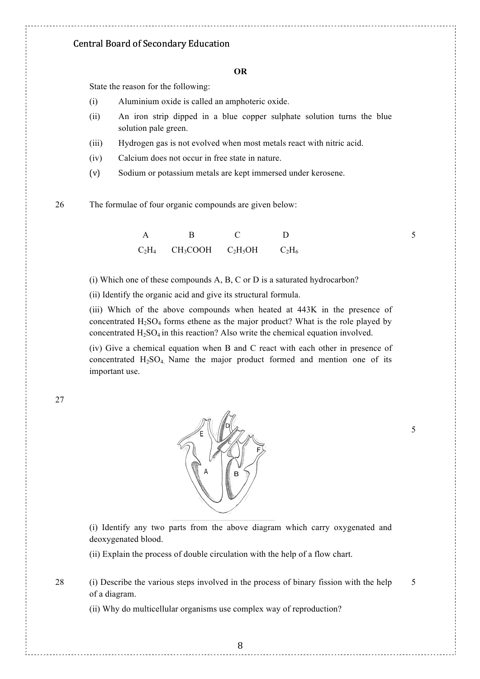#### **OR**

State the reason for the following:

- (i) Aluminium oxide is called an amphoteric oxide.
- (ii) An iron strip dipped in a blue copper sulphate solution turns the blue solution pale green.
- (iii) Hydrogen gas is not evolved when most metals react with nitric acid.
- (iv) Calcium does not occur in free state in nature.
- (v) Sodium or potassium metals are kept immersed under kerosene.

26 The formulae of four organic compounds are given below:

|  | $C_2H_4$ $CH_3COOH$ $C_2H_5OH$ | $\rm{C_2H_6}$ |
|--|--------------------------------|---------------|

(i) Which one of these compounds A, B, C or D is a saturated hydrocarbon?

(ii) Identify the organic acid and give its structural formula.

(iii) Which of the above compounds when heated at 443K in the presence of concentrated  $H_2SO_4$  forms ethene as the major product? What is the role played by concentrated  $H_2SO_4$  in this reaction? Also write the chemical equation involved.

(iv) Give a chemical equation when B and C react with each other in presence of concentrated  $H_2SO_4$  Name the major product formed and mention one of its important use.

27



(i) Identify any two parts from the above diagram which carry oxygenated and deoxygenated blood.

(ii) Explain the process of double circulation with the help of a flow chart.

28 (i) Describe the various steps involved in the process of binary fission with the help of a diagram.

(ii) Why do multicellular organisms use complex way of reproduction?

5

5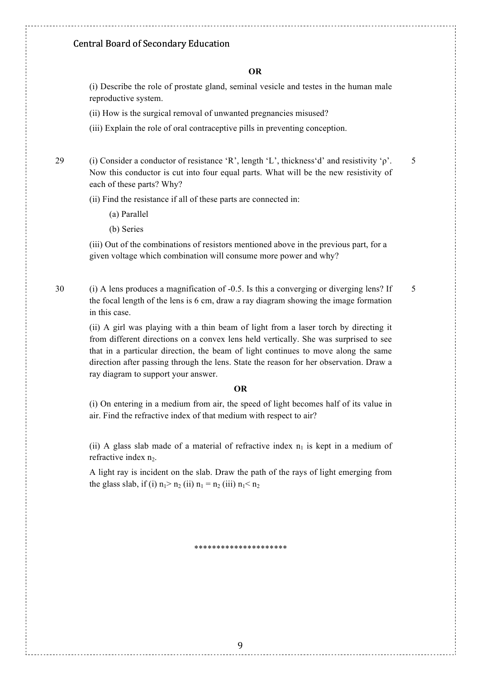#### **OR**

(i) Describe the role of prostate gland, seminal vesicle and testes in the human male reproductive system.

(ii) How is the surgical removal of unwanted pregnancies misused?

(iii) Explain the role of oral contraceptive pills in preventing conception.

29 (i) Consider a conductor of resistance 'R', length 'L', thickness'd' and resistivity ' $\rho$ '. Now this conductor is cut into four equal parts. What will be the new resistivity of each of these parts? Why?

5

(ii) Find the resistance if all of these parts are connected in:

- (a) Parallel
- (b) Series

(iii) Out of the combinations of resistors mentioned above in the previous part, for a given voltage which combination will consume more power and why?

30 (i) A lens produces a magnification of -0.5. Is this a converging or diverging lens? If the focal length of the lens is 6 cm, draw a ray diagram showing the image formation in this case. 5

(ii) A girl was playing with a thin beam of light from a laser torch by directing it from different directions on a convex lens held vertically. She was surprised to see that in a particular direction, the beam of light continues to move along the same direction after passing through the lens. State the reason for her observation. Draw a ray diagram to support your answer.

#### **OR**

(i) On entering in a medium from air, the speed of light becomes half of its value in air. Find the refractive index of that medium with respect to air?

(ii) A glass slab made of a material of refractive index  $n_1$  is kept in a medium of refractive index n<sub>2</sub>.

A light ray is incident on the slab. Draw the path of the rays of light emerging from the glass slab, if (i)  $n_1 > n_2$  (ii)  $n_1 = n_2$  (iii)  $n_1 < n_2$ 

\*\*\*\*\*\*\*\*\*\*\*\*\*\*\*\*\*\*\*\*\*